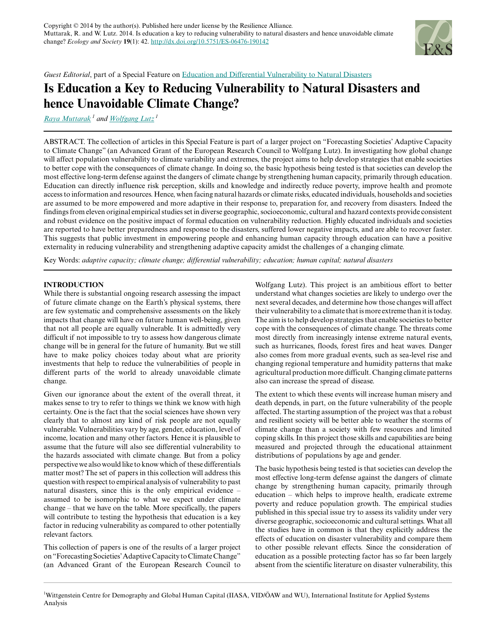

*Guest Editorial*, part of a Special Feature on [Education and Differential Vulnerability to Natural Disasters](http://www.ecologyandsociety.org/viewissue.php?sf=73)

# **Is Education a Key to Reducing Vulnerability to Natural Disasters and hence Unavoidable Climate Change?**

*[Raya Muttarak](mailto:muttarak@iiasa.ac.at)<sup>1</sup> and [Wolfgang Lutz](mailto:lutz@iiasa.ac.at)<sup>1</sup>*

ABSTRACT. The collection of articles in this Special Feature is part of a larger project on "Forecasting Societies' Adaptive Capacity to Climate Change" (an Advanced Grant of the European Research Council to Wolfgang Lutz). In investigating how global change will affect population vulnerability to climate variability and extremes, the project aims to help develop strategies that enable societies to better cope with the consequences of climate change. In doing so, the basic hypothesis being tested is that societies can develop the most effective long-term defense against the dangers of climate change by strengthening human capacity, primarily through education. Education can directly influence risk perception, skills and knowledge and indirectly reduce poverty, improve health and promote access to information and resources. Hence, when facing natural hazards or climate risks, educated individuals, households and societies are assumed to be more empowered and more adaptive in their response to, preparation for, and recovery from disasters. Indeed the findings from eleven original empirical studies set in diverse geographic, socioeconomic, cultural and hazard contexts provide consistent and robust evidence on the positive impact of formal education on vulnerability reduction. Highly educated individuals and societies are reported to have better preparedness and response to the disasters, suffered lower negative impacts, and are able to recover faster. This suggests that public investment in empowering people and enhancing human capacity through education can have a positive externality in reducing vulnerability and strengthening adaptive capacity amidst the challenges of a changing climate.

Key Words: *adaptive capacity; climate change; differential vulnerability; education; human capital; natural disasters*

## **INTRODUCTION**

While there is substantial ongoing research assessing the impact of future climate change on the Earth's physical systems, there are few systematic and comprehensive assessments on the likely impacts that change will have on future human well-being, given that not all people are equally vulnerable. It is admittedly very difficult if not impossible to try to assess how dangerous climate change will be in general for the future of humanity. But we still have to make policy choices today about what are priority investments that help to reduce the vulnerabilities of people in different parts of the world to already unavoidable climate change.

Given our ignorance about the extent of the overall threat, it makes sense to try to refer to things we think we know with high certainty. One is the fact that the social sciences have shown very clearly that to almost any kind of risk people are not equally vulnerable. Vulnerabilities vary by age, gender, education, level of income, location and many other factors. Hence it is plausible to assume that the future will also see differential vulnerability to the hazards associated with climate change. But from a policy perspective we also would like to know which of these differentials matter most? The set of papers in this collection will address this question with respect to empirical analysis of vulnerability to past natural disasters, since this is the only empirical evidence – assumed to be isomorphic to what we expect under climate change – that we have on the table. More specifically, the papers will contribute to testing the hypothesis that education is a key factor in reducing vulnerability as compared to other potentially relevant factors.

This collection of papers is one of the results of a larger project on "Forecasting Societies' Adaptive Capacity to Climate Change" (an Advanced Grant of the European Research Council to Wolfgang Lutz). This project is an ambitious effort to better understand what changes societies are likely to undergo over the next several decades, and determine how those changes will affect their vulnerability to a climate that is more extreme than it is today. The aim is to help develop strategies that enable societies to better cope with the consequences of climate change. The threats come most directly from increasingly intense extreme natural events, such as hurricanes, floods, forest fires and heat waves. Danger also comes from more gradual events, such as sea-level rise and changing regional temperature and humidity patterns that make agricultural production more difficult. Changing climate patterns also can increase the spread of disease.

The extent to which these events will increase human misery and death depends, in part, on the future vulnerability of the people affected. The starting assumption of the project was that a robust and resilient society will be better able to weather the storms of climate change than a society with few resources and limited coping skills. In this project those skills and capabilities are being measured and projected through the educational attainment distributions of populations by age and gender.

The basic hypothesis being tested is that societies can develop the most effective long-term defense against the dangers of climate change by strengthening human capacity, primarily through education – which helps to improve health, eradicate extreme poverty and reduce population growth. The empirical studies published in this special issue try to assess its validity under very diverse geographic, socioeconomic and cultural settings. What all the studies have in common is that they explicitly address the effects of education on disaster vulnerability and compare them to other possible relevant effects. Since the consideration of education as a possible protecting factor has so far been largely absent from the scientific literature on disaster vulnerability, this

<sup>1</sup>Wittgenstein Centre for Demography and Global Human Capital (IIASA, VID/ÖAW and WU), International Institute for Applied Systems Analysis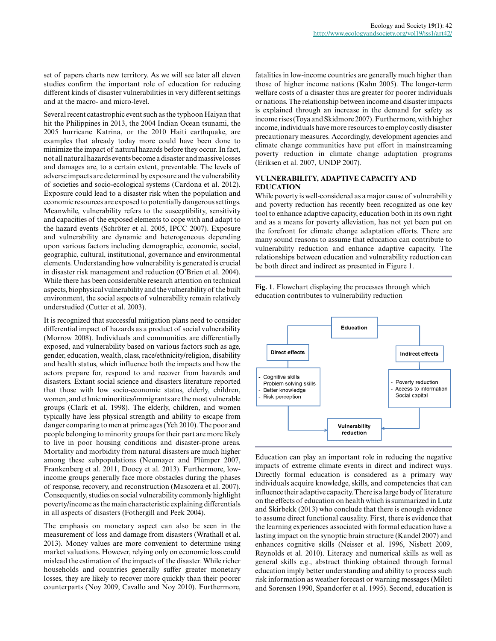set of papers charts new territory. As we will see later all eleven studies confirm the important role of education for reducing different kinds of disaster vulnerabilities in very different settings and at the macro- and micro-level.

Several recent catastrophic event such as the typhoon Haiyan that hit the Philippines in 2013, the 2004 Indian Ocean tsunami, the 2005 hurricane Katrina, or the 2010 Haiti earthquake, are examples that already today more could have been done to minimize the impact of natural hazards before they occur. In fact, not all natural hazards events become a disaster and massive losses and damages are, to a certain extent, preventable. The levels of adverse impacts are determined by exposure and the vulnerability of societies and socio-ecological systems (Cardona et al. 2012). Exposure could lead to a disaster risk when the population and economic resources are exposed to potentially dangerous settings. Meanwhile, vulnerability refers to the susceptibility, sensitivity and capacities of the exposed elements to cope with and adapt to the hazard events (Schröter et al. 2005, IPCC 2007). Exposure and vulnerability are dynamic and heterogeneous depending upon various factors including demographic, economic, social, geographic, cultural, institutional, governance and environmental elements. Understanding how vulnerability is generated is crucial in disaster risk management and reduction (O'Brien et al. 2004). While there has been considerable research attention on technical aspects, biophysical vulnerability and the vulnerability of the built environment, the social aspects of vulnerability remain relatively understudied (Cutter et al. 2003).

It is recognized that successful mitigation plans need to consider differential impact of hazards as a product of social vulnerability (Morrow 2008). Individuals and communities are differentially exposed, and vulnerability based on various factors such as age, gender, education, wealth, class, race/ethnicity/religion, disability and health status, which influence both the impacts and how the actors prepare for, respond to and recover from hazards and disasters. Extant social science and disasters literature reported that those with low socio-economic status, elderly, children, women, and ethnic minorities/immigrants are the most vulnerable groups (Clark et al. 1998). The elderly, children, and women typically have less physical strength and ability to escape from danger comparing to men at prime ages (Yeh 2010). The poor and people belonging to minority groups for their part are more likely to live in poor housing conditions and disaster-prone areas. Mortality and morbidity from natural disasters are much higher among these subpopulations (Neumayer and Plümper 2007, Frankenberg et al. 2011, Doocy et al. 2013). Furthermore, lowincome groups generally face more obstacles during the phases of response, recovery, and reconstruction (Masozera et al. 2007). Consequently, studies on social vulnerability commonly highlight poverty/income as the main characteristic explaining differentials in all aspects of disasters (Fothergill and Peek 2004).

The emphasis on monetary aspect can also be seen in the measurement of loss and damage from disasters (Wrathall et al. 2013). Money values are more convenient to determine using market valuations. However, relying only on economic loss could mislead the estimation of the impacts of the disaster. While richer households and countries generally suffer greater monetary losses, they are likely to recover more quickly than their poorer counterparts (Noy 2009, Cavallo and Noy 2010). Furthermore, fatalities in low-income countries are generally much higher than those of higher income nations (Kahn 2005). The longer-term welfare costs of a disaster thus are greater for poorer individuals or nations. The relationship between income and disaster impacts is explained through an increase in the demand for safety as income rises (Toya and Skidmore 2007). Furthermore, with higher income, individuals have more resources to employ costly disaster precautionary measures. Accordingly, development agencies and climate change communities have put effort in mainstreaming poverty reduction in climate change adaptation programs (Eriksen et al. 2007, UNDP 2007).

### **VULNERABILITY, ADAPTIVE CAPACITY AND EDUCATION**

While poverty is well-considered as a major cause of vulnerability and poverty reduction has recently been recognized as one key tool to enhance adaptive capacity, education both in its own right and as a means for poverty alleviation, has not yet been put on the forefront for climate change adaptation efforts. There are many sound reasons to assume that education can contribute to vulnerability reduction and enhance adaptive capacity. The relationships between education and vulnerability reduction can be both direct and indirect as presented in Figure 1.

**Fig. 1**. Flowchart displaying the processes through which education contributes to vulnerability reduction



Education can play an important role in reducing the negative impacts of extreme climate events in direct and indirect ways. Directly formal education is considered as a primary way individuals acquire knowledge, skills, and competencies that can influence their adaptive capacity. There is a large body of literature on the effects of education on health which is summarized in Lutz and Skirbekk (2013) who conclude that there is enough evidence to assume direct functional causality. First, there is evidence that the learning experiences associated with formal education have a lasting impact on the synoptic brain structure (Kandel 2007) and enhances cognitive skills (Neisser et al. 1996, Nisbett 2009, Reynolds et al. 2010). Literacy and numerical skills as well as general skills e.g., abstract thinking obtained through formal education imply better understanding and ability to process such risk information as weather forecast or warning messages (Mileti and Sorensen 1990, Spandorfer et al. 1995). Second, education is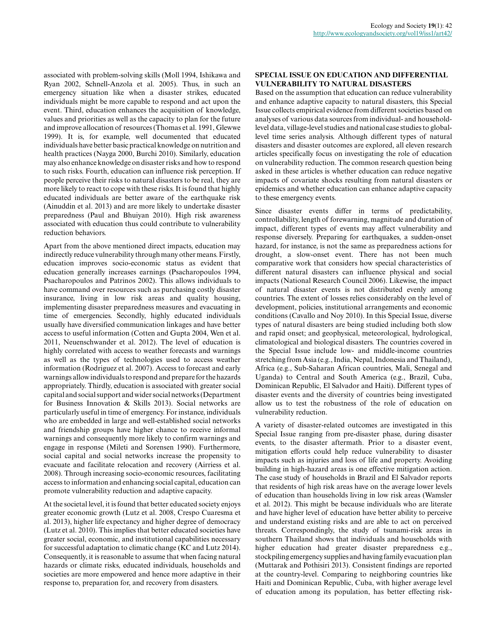associated with problem-solving skills (Moll 1994, Ishikawa and Ryan 2002, Schnell-Anzola et al. 2005). Thus, in such an emergency situation like when a disaster strikes, educated individuals might be more capable to respond and act upon the event. Third, education enhances the acquisition of knowledge, values and priorities as well as the capacity to plan for the future and improve allocation of resources (Thomas et al. 1991, Glewwe 1999). It is, for example, well documented that educated individuals have better basic practical knowledge on nutrition and health practices (Nayga 2000, Burchi 2010). Similarly, education may also enhance knowledge on disaster risks and how to respond to such risks. Fourth, education can influence risk perception. If people perceive their risks to natural disasters to be real, they are more likely to react to cope with these risks. It is found that highly educated individuals are better aware of the earthquake risk (Ainuddin et al. 2013) and are more likely to undertake disaster preparedness (Paul and Bhuiyan 2010). High risk awareness associated with education thus could contribute to vulnerability reduction behaviors.

Apart from the above mentioned direct impacts, education may indirectly reduce vulnerability through many other means. Firstly, education improves socio-economic status as evident that education generally increases earnings (Psacharopoulos 1994, Psacharopoulos and Patrinos 2002). This allows individuals to have command over resources such as purchasing costly disaster insurance, living in low risk areas and quality housing, implementing disaster preparedness measures and evacuating in time of emergencies. Secondly, highly educated individuals usually have diversified communication linkages and have better access to useful information (Cotten and Gupta 2004, Wen et al. 2011, Neuenschwander et al. 2012). The level of education is highly correlated with access to weather forecasts and warnings as well as the types of technologies used to access weather information (Rodriguez et al. 2007). Access to forecast and early warnings allow individuals to respond and prepare for the hazards appropriately. Thirdly, education is associated with greater social capital and social support and wider social networks (Department for Business Innovation & Skills 2013). Social networks are particularly useful in time of emergency. For instance, individuals who are embedded in large and well-established social networks and friendship groups have higher chance to receive informal warnings and consequently more likely to confirm warnings and engage in response (Mileti and Sorensen 1990). Furthermore, social capital and social networks increase the propensity to evacuate and facilitate relocation and recovery (Airriess et al. 2008). Through increasing socio-economic resources, facilitating access to information and enhancing social capital, education can promote vulnerability reduction and adaptive capacity.

At the societal level, it is found that better educated society enjoys greater economic growth (Lutz et al. 2008, Crespo Cuaresma et al. 2013), higher life expectancy and higher degree of democracy (Lutz et al. 2010). This implies that better educated societies have greater social, economic, and institutional capabilities necessary for successful adaptation to climatic change (KC and Lutz 2014). Consequently, it is reasonable to assume that when facing natural hazards or climate risks, educated individuals, households and societies are more empowered and hence more adaptive in their response to, preparation for, and recovery from disasters.

## **SPECIAL ISSUE ON EDUCATION AND DIFFERENTIAL VULNERABILITY TO NATURAL DISASTERS**

Based on the assumption that education can reduce vulnerability and enhance adaptive capacity to natural disasters, this Special Issue collects empirical evidence from different societies based on analyses of various data sources from individual- and householdlevel data, village-level studies and national case studies to globallevel time series analysis. Although different types of natural disasters and disaster outcomes are explored, all eleven research articles specifically focus on investigating the role of education on vulnerability reduction. The common research question being asked in these articles is whether education can reduce negative impacts of covariate shocks resulting from natural disasters or epidemics and whether education can enhance adaptive capacity to these emergency events.

Since disaster events differ in terms of predictability, controllability, length of forewarning, magnitude and duration of impact, different types of events may affect vulnerability and response diversely. Preparing for earthquakes, a sudden-onset hazard, for instance, is not the same as preparedness actions for drought, a slow-onset event. There has not been much comparative work that considers how special characteristics of different natural disasters can influence physical and social impacts (National Research Council 2006). Likewise, the impact of natural disaster events is not distributed evenly among countries. The extent of losses relies considerably on the level of development, policies, institutional arrangements and economic conditions (Cavallo and Noy 2010). In this Special Issue, diverse types of natural disasters are being studied including both slow and rapid onset; and geophysical, meteorological, hydrological, climatological and biological disasters. The countries covered in the Special Issue include low- and middle-income countries stretching from Asia (e.g., India, Nepal, Indonesia and Thailand), Africa (e.g., Sub-Saharan African countries, Mali, Senegal and Uganda) to Central and South America (e.g., Brazil, Cuba, Dominican Republic, El Salvador and Haiti). Different types of disaster events and the diversity of countries being investigated allow us to test the robustness of the role of education on vulnerability reduction.

A variety of disaster-related outcomes are investigated in this Special Issue ranging from pre-disaster phase, during disaster events, to the disaster aftermath. Prior to a disaster event, mitigation efforts could help reduce vulnerability to disaster impacts such as injuries and loss of life and property. Avoiding building in high-hazard areas is one effective mitigation action. The case study of households in Brazil and El Salvador reports that residents of high risk areas have on the average lower levels of education than households living in low risk areas (Wamsler et al. 2012). This might be because individuals who are literate and have higher level of education have better ability to perceive and understand existing risks and are able to act on perceived threats. Correspondingly, the study of tsunami-risk areas in southern Thailand shows that individuals and households with higher education had greater disaster preparedness e.g., stockpiling emergency supplies and having family evacuation plan (Muttarak and Pothisiri 2013). Consistent findings are reported at the country-level. Comparing to neighboring countries like Haiti and Dominican Republic, Cuba, with higher average level of education among its population, has better effecting risk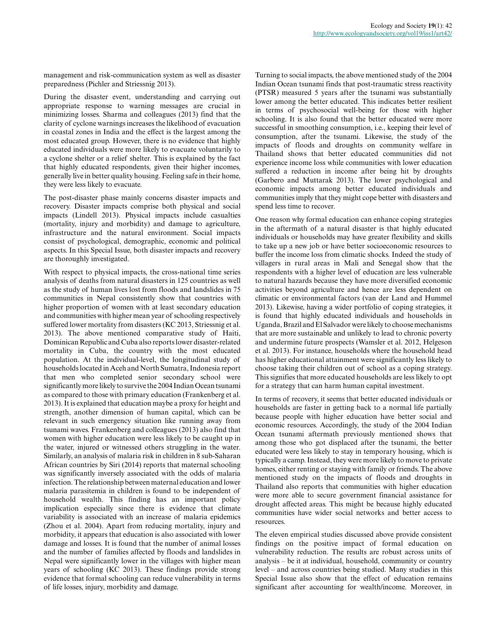management and risk-communication system as well as disaster preparedness (Pichler and Striessnig 2013).

During the disaster event, understanding and carrying out appropriate response to warning messages are crucial in minimizing losses. Sharma and colleagues (2013) find that the clarity of cyclone warnings increases the likelihood of evacuation in coastal zones in India and the effect is the largest among the most educated group. However, there is no evidence that highly educated individuals were more likely to evacuate voluntarily to a cyclone shelter or a relief shelter. This is explained by the fact that highly educated respondents, given their higher incomes, generally live in better quality housing. Feeling safe in their home, they were less likely to evacuate.

The post-disaster phase mainly concerns disaster impacts and recovery. Disaster impacts comprise both physical and social impacts (Lindell 2013). Physical impacts include casualties (mortality, injury and morbidity) and damage to agriculture, infrastructure and the natural environment. Social impacts consist of psychological, demographic, economic and political aspects. In this Special Issue, both disaster impacts and recovery are thoroughly investigated.

With respect to physical impacts, the cross-national time series analysis of deaths from natural disasters in 125 countries as well as the study of human lives lost from floods and landslides in 75 communities in Nepal consistently show that countries with higher proportion of women with at least secondary education and communities with higher mean year of schooling respectively suffered lower mortality from disasters (KC 2013, Striessnig et al. 2013). The above mentioned comparative study of Haiti, Dominican Republic and Cuba also reports lower disaster-related mortality in Cuba, the country with the most educated population. At the individual-level, the longitudinal study of households located in Aceh and North Sumatra, Indonesia report that men who completed senior secondary school were significantly more likely to survive the 2004 Indian Ocean tsunami as compared to those with primary education (Frankenberg et al. 2013). It is explained that education maybe a proxy for height and strength, another dimension of human capital, which can be relevant in such emergency situation like running away from tsunami waves. Frankenberg and colleagues (2013) also find that women with higher education were less likely to be caught up in the water, injured or witnessed others struggling in the water. Similarly, an analysis of malaria risk in children in 8 sub-Saharan African countries by Siri (2014) reports that maternal schooling was significantly inversely associated with the odds of malaria infection. The relationship between maternal education and lower malaria parasitemia in children is found to be independent of household wealth. This finding has an important policy implication especially since there is evidence that climate variability is associated with an increase of malaria epidemics (Zhou et al. 2004). Apart from reducing mortality, injury and morbidity, it appears that education is also associated with lower damage and losses. It is found that the number of animal losses and the number of families affected by floods and landslides in Nepal were significantly lower in the villages with higher mean years of schooling (KC 2013). These findings provide strong evidence that formal schooling can reduce vulnerability in terms of life losses, injury, morbidity and damage.

Turning to social impacts, the above mentioned study of the 2004 Indian Ocean tsunami finds that post-traumatic stress reactivity (PTSR) measured 5 years after the tsunami was substantially lower among the better educated. This indicates better resilient in terms of psychosocial well-being for those with higher schooling. It is also found that the better educated were more successful in smoothing consumption, i.e., keeping their level of consumption, after the tsunami. Likewise, the study of the impacts of floods and droughts on community welfare in Thailand shows that better educated communities did not experience income loss while communities with lower education suffered a reduction in income after being hit by droughts (Garbero and Muttarak 2013). The lower psychological and economic impacts among better educated individuals and communities imply that they might cope better with disasters and spend less time to recover.

One reason why formal education can enhance coping strategies in the aftermath of a natural disaster is that highly educated individuals or households may have greater flexibility and skills to take up a new job or have better socioeconomic resources to buffer the income loss from climatic shocks. Indeed the study of villagers in rural areas in Mali and Senegal show that the respondents with a higher level of education are less vulnerable to natural hazards because they have more diversified economic activities beyond agriculture and hence are less dependent on climatic or environmental factors (van der Land and Hummel 2013). Likewise, having a wider portfolio of coping strategies, it is found that highly educated individuals and households in Uganda, Brazil and El Salvador were likely to choose mechanisms that are more sustainable and unlikely to lead to chronic poverty and undermine future prospects (Wamsler et al. 2012, Helgeson et al. 2013). For instance, households where the household head has higher educational attainment were significantly less likely to choose taking their children out of school as a coping strategy. This signifies that more educated households are less likely to opt for a strategy that can harm human capital investment.

In terms of recovery, it seems that better educated individuals or households are faster in getting back to a normal life partially because people with higher education have better social and economic resources. Accordingly, the study of the 2004 Indian Ocean tsunami aftermath previously mentioned shows that among those who got displaced after the tsunami, the better educated were less likely to stay in temporary housing, which is typically a camp. Instead, they were more likely to move to private homes, either renting or staying with family or friends. The above mentioned study on the impacts of floods and droughts in Thailand also reports that communities with higher education were more able to secure government financial assistance for drought affected areas. This might be because highly educated communities have wider social networks and better access to resources.

The eleven empirical studies discussed above provide consistent findings on the positive impact of formal education on vulnerability reduction. The results are robust across units of analysis – be it at individual, household, community or country level – and across countries being studied. Many studies in this Special Issue also show that the effect of education remains significant after accounting for wealth/income. Moreover, in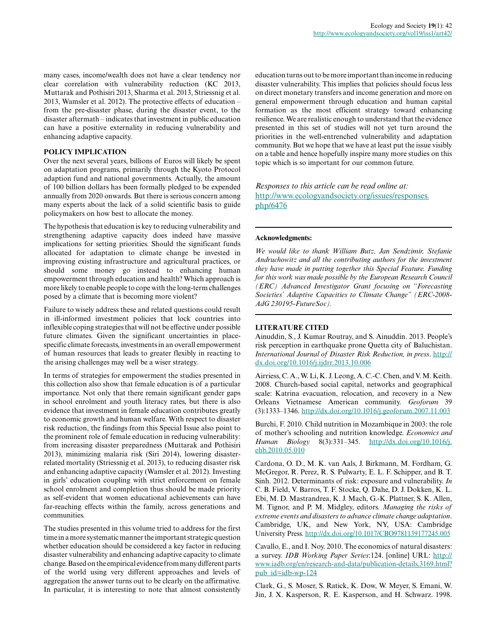many cases, income/wealth does not have a clear tendency nor clear correlation with vulnerability reduction (KC 2013, Muttarak and Pothisiri 2013, Sharma et al. 2013, Striessnig et al. 2013, Wamsler et al. 2012). The protective effects of education – from the pre-disaster phase, during the disaster event, to the disaster aftermath – indicates that investment in public education can have a positive externality in reducing vulnerability and enhancing adaptive capacity.

#### **POLICY IMPLICATION**

Over the next several years, billions of Euros will likely be spent on adaptation programs, primarily through the Kyoto Protocol adaption fund and national governments. Actually, the amount of 100 billion dollars has been formally pledged to be expended annually from 2020 onwards. But there is serious concern among many experts about the lack of a solid scientific basis to guide policymakers on how best to allocate the money.

The hypothesis that education is key to reducing vulnerability and strengthening adaptive capacity does indeed have massive implications for setting priorities. Should the significant funds allocated for adaptation to climate change be invested in improving existing infrastructure and agricultural practices, or should some money go instead to enhancing human empowerment through education and health? Which approach is more likely to enable people to cope with the long-term challenges posed by a climate that is becoming more violent?

Failure to wisely address these and related questions could result in ill-informed investment policies that lock countries into inflexible coping strategies that will not be effective under possible future climates. Given the significant uncertainties in placespecific climate forecasts, investments in an overall empowerment of human resources that leads to greater flexibly in reacting to the arising challenges may well be a wiser strategy.

In terms of strategies for empowerment the studies presented in this collection also show that female education is of a particular importance. Not only that there remain significant gender gaps in school enrolment and youth literacy rates, but there is also evidence that investment in female education contributes greatly to economic growth and human welfare. With respect to disaster risk reduction, the findings from this Special Issue also point to the prominent role of female education in reducing vulnerability: from increasing disaster preparedness (Muttarak and Pothisiri 2013), minimizing malaria risk (Siri 2014), lowering disasterrelated mortality (Striessnig et al. 2013), to reducing disaster risk and enhancing adaptive capacity (Wamsler et al. 2012). Investing in girls' education coupling with strict enforcement on female school enrolment and completion thus should be made priority as self-evident that women educational achievements can have far-reaching effects within the family, across generations and communities.

The studies presented in this volume tried to address for the first time in a more systematic manner the important strategic question whether education should be considered a key factor in reducing disaster vulnerability and enhancing adaptive capacity to climate change. Based on the empirical evidence from many different parts of the world using very different approaches and levels of aggregation the answer turns out to be clearly on the affirmative. In particular, it is interesting to note that almost consistently

education turns out to be more important than income in reducing disaster vulnerability. This implies that policies should focus less on direct monetary transfers and income generation and more on general empowerment through education and human capital formation as the most efficient strategy toward enhancing resilience. We are realistic enough to understand that the evidence presented in this set of studies will not yet turn around the priorities in the well-entrenched vulnerability and adaptation community. But we hope that we have at least put the issue visibly on a table and hence hopefully inspire many more studies on this topic which is so important for our common future.

## *Responses to this article can be read online at:* [http://www.ecologyandsociety.org/issues/responses.](http://www.ecologyandsociety.org/issues/responses.php/6476) [php/6476](http://www.ecologyandsociety.org/issues/responses.php/6476)

#### **Acknowledgments:**

*We would like to thank William Butz, Jan Sendzimir, Stefanie Andruchowitz and all the contributing authors for the investment they have made in putting together this Special Feature. Funding for this work was made possible by the European Research Council (ERC) Advanced Investigator Grant focusing on "Forecasting Societies' Adaptive Capacities to Climate Change" (ERC-2008- AdG 230195-FutureSoc).*

### **LITERATURE CITED**

Ainuddin, S., J. Kumar Routray, and S. Ainuddin. 2013. People's risk perception in earthquake prone Quetta city of Baluchistan. *International Journal of Disaster Risk Reduction, in press*. [http://](http://dx.doi.org/10.1016/j.ijdrr.2013.10.006) [dx.doi.org/10.1016/j.ijdrr.2013.10.006](http://dx.doi.org/10.1016/j.ijdrr.2013.10.006)

Airriess, C. A., W. Li, K. J. Leong, A. C.-C. Chen, and V. M. Keith. 2008. Church-based social capital, networks and geographical scale: Katrina evacuation, relocation, and recovery in a New Orleans Vietnamese American community. *Geoforum* 39 (3):1333–1346.<http://dx.doi.org/10.1016/j.geoforum.2007.11.003>

Burchi, F. 2010. Child nutrition in Mozambique in 2003: the role of mother's schooling and nutrition knowledge. *Economics and Human Biology* 8(3):331–345. [http://dx.doi.org/10.1016/j.](http://dx.doi.org/10.1016/j.ehb.2010.05.010) [ehb.2010.05.010](http://dx.doi.org/10.1016/j.ehb.2010.05.010)

Cardona, O. D., M. K. van Aals, J. Birkmann, M. Fordham, G. McGregor, R. Perez, R. S. Pulwarty, E. L. F. Schipper, and B. T. Sinh. 2012. Determinants of risk: exposure and vulnerability. *In* C. B. Field, V. Barros, T. F. Stocke, Q. Dahe, D. J. Dokken, K. L. Ebi, M. D. Mastrandrea, K. J. Mach, G.-K. Plattner, S. K. Allen, M. Tignor, and P. M. Midgley, editors. *Managing the risks of extreme events and disasters to advance climate change adaptation*. Cambridge, UK, and New York, NY, USA: Cambridge University Press. <http://dx.doi.org/10.1017/CBO9781139177245.005>

Cavallo, E., and I. Noy. 2010. The economics of natural disasters: a survey. *IDB Working Paper Series*:124. [online] URL: [http://](http://www.iadb.org/en/research-and-data/publication-details,3169.html?pub_id=idb-wp-124) [www.iadb.org/en/research-and-data/publication-details,3169.html?](http://www.iadb.org/en/research-and-data/publication-details,3169.html?pub_id=idb-wp-124) [pub\\_id=idb-wp-124](http://www.iadb.org/en/research-and-data/publication-details,3169.html?pub_id=idb-wp-124)

Clark, G., S. Moser, S. Ratick, K. Dow, W. Meyer, S. Emani, W. Jin, J. X. Kasperson, R. E. Kasperson, and H. Schwarz. 1998.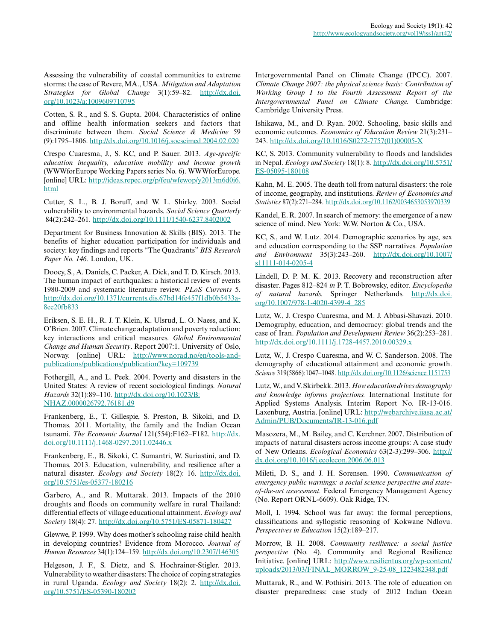Assessing the vulnerability of coastal communities to extreme storms: the case of Revere, MA., USA. *Mitigation and Adaptation Strategies for Global Change* 3(1):59–82. [http://dx.doi.](http://dx.doi.org/10.1023/a:1009609710795) [org/10.1023/a:1009609710795](http://dx.doi.org/10.1023/a:1009609710795)

Cotten, S. R., and S. S. Gupta. 2004. Characteristics of online and offline health information seekers and factors that discriminate between them. *Social Science & Medicine* 59 (9):1795–1806. <http://dx.doi.org/10.1016/j.socscimed.2004.02.020>

Crespo Cuaresma, J., S. KC, and P. Sauer. 2013. *Age-specific education inequality, education mobility and income growth* (WWWforEurope Working Papers series No. 6). WWWforEurope. [online] URL: [http://ideas.repec.org/p/feu/wfewop/y2013m6d0i6.](http://ideas.repec.org/p/feu/wfewop/y2013m6d0i6.html) [html](http://ideas.repec.org/p/feu/wfewop/y2013m6d0i6.html)

Cutter, S. L., B. J. Boruff, and W. L. Shirley. 2003. Social vulnerability to environmental hazards. *Social Science Quarterly* 84(2):242–261.<http://dx.doi.org/10.1111/1540-6237.8402002>

Department for Business Innovation & Skills (BIS). 2013. The benefits of higher education participation for individuals and society: key findings and reports "The Quadrants" *BIS Research Paper No. 146.* London, UK.

Doocy, S., A. Daniels, C. Packer, A. Dick, and T. D. Kirsch. 2013. The human impact of earthquakes: a historical review of events 1980-2009 and systematic literature review. *PLoS Currents* 5. [http://dx.doi.org/10.1371/currents.dis.67bd14fe457f1db0b5433a-](http://dx.doi.org/10.1371/currents.dis.67bd14fe457f1db0b5433a8ee20fb833)[8ee20fb833](http://dx.doi.org/10.1371/currents.dis.67bd14fe457f1db0b5433a8ee20fb833)

Eriksen, S. E. H., R. J. T. Klein, K. Ulsrud, L. O. Naess, and K. O'Brien. 2007. Climate change adaptation and poverty reduction: key interactions and critical measures. *Global Environmental Change and Human Security*. Report 2007:1. University of Oslo, Norway. [online] URL: [http://www.norad.no/en/tools-and](http://www.norad.no/en/tools-and-publications/publications/publication?key=109739 )[publications/publications/publication?key=109739](http://www.norad.no/en/tools-and-publications/publications/publication?key=109739 )

Fothergill, A., and L. Peek. 2004. Poverty and disasters in the United States: A review of recent sociological findings. *Natural Hazards* 32(1):89–110. [http://dx.doi.org/10.1023/B:](http://dx.doi.org/10.1023/B:NHAZ.0000026792.76181.d9) [NHAZ.0000026792.76181.d9](http://dx.doi.org/10.1023/B:NHAZ.0000026792.76181.d9)

Frankenberg, E., T. Gillespie, S. Preston, B. Sikoki, and D. Thomas. 2011. Mortality, the family and the Indian Ocean tsunami. *The Economic Journal* 121(554):F162–F182. [http://dx.](http://dx.doi.org/10.1111/j.1468-0297.2011.02446.x) [doi.org/10.1111/j.1468-0297.2011.02446.x](http://dx.doi.org/10.1111/j.1468-0297.2011.02446.x)

Frankenberg, E., B. Sikoki, C. Sumantri, W. Suriastini, and D. Thomas. 2013. Education, vulnerability, and resilience after a natural disaster. *Ecology and Society* 18(2): 16. [http://dx.doi.](http://dx.doi.org/10.5751/es-05377-180216) [org/10.5751/es-05377-180216](http://dx.doi.org/10.5751/es-05377-180216)

Garbero, A., and R. Muttarak. 2013. Impacts of the 2010 droughts and floods on community welfare in rural Thailand: differential effects of village educational attainment. *Ecology and Society* 18(4): 27. <http://dx.doi.org/10.5751/ES-05871-180427>

Glewwe, P. 1999. Why does mother's schooling raise child health in developing countries? Evidence from Morocco. *Journal of Human Resources* 34(1):124–159.<http://dx.doi.org/10.2307/146305>

Helgeson, J. F., S. Dietz, and S. Hochrainer-Stigler. 2013. Vulnerability to weather disasters: The choice of coping strategies in rural Uganda. *Ecology and Society* 18(2): 2. [http://dx.doi.](http://dx.doi.org/10.5751/ES-05390-180202) [org/10.5751/ES-05390-180202](http://dx.doi.org/10.5751/ES-05390-180202)

Intergovernmental Panel on Climate Change (IPCC). 2007. *Climate Change 2007: the physical science basis: Contribution of Working Group I to the Fourth Assessment Report of the Intergovernmental Panel on Climate Change.* Cambridge: Cambridge University Press.

Ishikawa, M., and D. Ryan. 2002. Schooling, basic skills and economic outcomes. *Economics of Education Review* 21(3):231– 243. [http://dx.doi.org/10.1016/S0272-7757\(01\)00005-X](http://dx.doi.org/10.1016/S0272-7757(01)00005-X)

KC, S. 2013. Community vulnerability to floods and landslides in Nepal. *Ecology and Society* 18(1): 8. [http://dx.doi.org/10.5751/](http://dx.doi.org/10.5751/ES-05095-180108) [ES-05095-180108](http://dx.doi.org/10.5751/ES-05095-180108)

Kahn, M. E. 2005. The death toll from natural disasters: the role of income, geography, and institutions. *Review of Economics and Statistics* 87(2):271–284. <http://dx.doi.org/10.1162/0034653053970339>

Kandel, E. R. 2007. In search of memory: the emergence of a new science of mind. New York: W.W. Norton & Co., USA.

KC, S., and W. Lutz. 2014. Demographic scenarios by age, sex and education corresponding to the SSP narratives. *Population and Environment* 35(3):243–260. [http://dx.doi.org/10.1007/](http://dx.doi.org/10.1007/s11111-014-0205-4) [s11111-014-0205-4](http://dx.doi.org/10.1007/s11111-014-0205-4)

Lindell, D. P. M. K. 2013. Recovery and reconstruction after disaster. Pages 812–824 *in* P. T. Bobrowsky, editor. *Encyclopedia of natural hazards.* Springer Netherlands. [http://dx.doi.](http://dx.doi.org/10.1007/978-1-4020-4399-4_285) [org/10.1007/978-1-4020-4399-4\\_285](http://dx.doi.org/10.1007/978-1-4020-4399-4_285)

Lutz, W., J. Crespo Cuaresma, and M. J. Abbasi-Shavazi. 2010. Demography, education, and democracy: global trends and the case of Iran. *Population and Development Review* 36(2):253–281. <http://dx.doi.org/10.1111/j.1728-4457.2010.00329.x>

Lutz, W., J. Crespo Cuaresma, and W. C. Sanderson. 2008. The demography of educational attainment and economic growth. *Science* 319(5866):1047–1048.<http://dx.doi.org/10.1126/science.1151753>

Lutz, W., and V. Skirbekk. 2013. *How education drives demography and knowledge informs projections.* International Institute for Applied Systems Analysis. Interim Report No. IR-13-016. Laxenburg, Austria. [online] URL: [http://webarchive.iiasa.ac.at/](http://webarchive.iiasa.ac.at/Admin/PUB/Documents/IR-13-016.pdf) [Admin/PUB/Documents/IR-13-016.pdf](http://webarchive.iiasa.ac.at/Admin/PUB/Documents/IR-13-016.pdf)

Masozera, M., M. Bailey, and C. Kerchner. 2007. Distribution of impacts of natural disasters across income groups: A case study of New Orleans. *Ecological Economics* 63(2-3):299–306. [http://](http://dx.doi.org/10.1016/j.ecolecon.2006.06.013) [dx.doi.org/10.1016/j.ecolecon.2006.06.013](http://dx.doi.org/10.1016/j.ecolecon.2006.06.013)

Mileti, D. S., and J. H. Sorensen. 1990. *Communication of emergency public warnings: a social science perspective and stateof-the-art assessment.* Federal Emergency Management Agency (No. Report ORNL-6609). Oak Ridge, TN.

Moll, I. 1994. School was far away: the formal perceptions, classifications and syllogistic reasoning of Kokwane Ndlovu. *Perspectives in Education* 15(2):189–217.

Morrow, B. H. 2008. *Community resilience: a social justice perspective* (No. 4). Community and Regional Resilience Initiative. [online] URL: [http://www.resilientus.org/wp-content/](http://www.resilientus.org/wp-content/uploads/2013/03/FINAL_MORROW_9-25-08_1223482348.pdf) [uploads/2013/03/FINAL\\_MORROW\\_9-25-08\\_1223482348.pdf](http://www.resilientus.org/wp-content/uploads/2013/03/FINAL_MORROW_9-25-08_1223482348.pdf)

Muttarak, R., and W. Pothisiri. 2013. The role of education on disaster preparedness: case study of 2012 Indian Ocean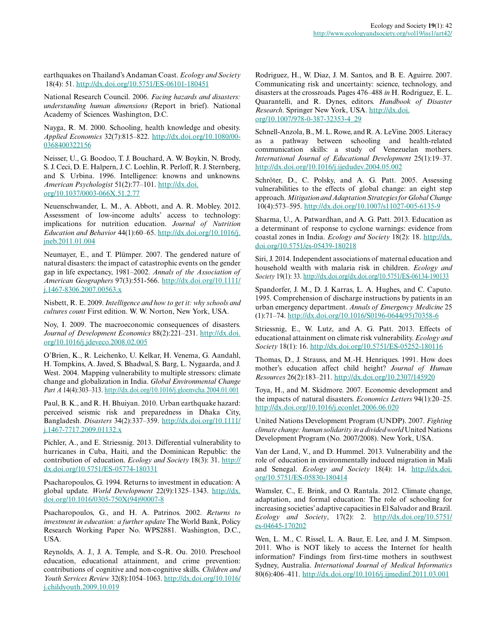earthquakes on Thailand's Andaman Coast. *Ecology and Society* 18(4): 51.<http://dx.doi.org/10.5751/ES-06101-180451>

National Research Council. 2006. *Facing hazards and disasters: understanding human dimensions* (Report in brief). National Academy of Sciences. Washington, D.C.

Nayga, R. M. 2000. Schooling, health knowledge and obesity. *Applied Economics* 32(7):815–822. [http://dx.doi.org/10.1080/00](http://dx.doi.org/10.1080/000368400322156) [0368400322156](http://dx.doi.org/10.1080/000368400322156)

Neisser, U., G. Boodoo, T. J. Bouchard, A. W. Boykin, N. Brody, S. J. Ceci, D. E. Halpern, J. C. Loehlin, R. Perloff, R. J. Sternberg, and S. Urbina. 1996. Intelligence: knowns and unknowns. *American Psychologist* 51(2):77–101. [http://dx.doi.](http://dx.doi.org/10.1037/0003-066X.51.2.77) [org/10.1037/0003-066X.51.2.77](http://dx.doi.org/10.1037/0003-066X.51.2.77)

Neuenschwander, L. M., A. Abbott, and A. R. Mobley. 2012. Assessment of low-income adults' access to technology: implications for nutrition education. *Journal of Nutrition Education and Behavior* 44(1):60–65. [http://dx.doi.org/10.1016/j.](http://dx.doi.org/10.1016/j.jneb.2011.01.004) ineb.2011.01.004

Neumayer, E., and T. Plümper. 2007. The gendered nature of natural disasters: the impact of catastrophic events on the gender gap in life expectancy, 1981–2002. *Annals of the Association of American Geographers* 97(3):551-566. [http://dx.doi.org/10.1111/](http://dx.doi.org/10.1111/j.1467-8306.2007.00563.x) [j.1467-8306.2007.00563.x](http://dx.doi.org/10.1111/j.1467-8306.2007.00563.x)

Nisbett, R. E. 2009. *Intelligence and how to get it: why schools and cultures count* First edition. W. W. Norton, New York, USA.

Noy, I. 2009. The macroeconomic consequences of disasters. *Journal of Development Economics* 88(2):221–231. [http://dx.doi.](http://dx.doi.org/10.1016/j.jdeveco.2008.02.005) [org/10.1016/j.jdeveco.2008.02.005](http://dx.doi.org/10.1016/j.jdeveco.2008.02.005)

O'Brien, K., R. Leichenko, U. Kelkar, H. Venema, G. Aandahl, H. Tompkins, A. Javed, S. Bhadwal, S. Barg, L. Nygaarda, and J. West. 2004. Mapping vulnerability to multiple stressors: climate change and globalization in India. *Global Environmental Change Part A* 14(4):303–313.<http://dx.doi.org/10.1016/j.gloenvcha.2004.01.001>

Paul, B. K., and R. H. Bhuiyan. 2010. Urban earthquake hazard: perceived seismic risk and preparedness in Dhaka City, Bangladesh. *Disasters* 34(2):337–359. [http://dx.doi.org/10.1111/](http://dx.doi.org/10.1111/j.1467-7717.2009.01132.x) [j.1467-7717.2009.01132.x](http://dx.doi.org/10.1111/j.1467-7717.2009.01132.x)

Pichler, A., and E. Striessnig. 2013. Differential vulnerability to hurricanes in Cuba, Haiti, and the Dominican Republic: the contribution of education. *Ecology and Society* 18(3): 31. [http://](http://dx.doi.org/10.5751/ES-05774-180331) [dx.doi.org/10.5751/ES-05774-180331](http://dx.doi.org/10.5751/ES-05774-180331)

Psacharopoulos, G. 1994. Returns to investment in education: A global update. *World Development* 22(9):1325–1343. [http://dx.](http://dx.doi.org/10.1016/0305-750X(94)90007-8) [doi.org/10.1016/0305-750X\(94\)90007-8](http://dx.doi.org/10.1016/0305-750X(94)90007-8)

Psacharopoulos, G., and H. A. Patrinos. 2002. *Returns to investment in education: a further update* The World Bank, Policy Research Working Paper No. WPS2881. Washington, D.C., USA.

Reynolds, A. J., J. A. Temple, and S.-R. Ou. 2010. Preschool education, educational attainment, and crime prevention: contributions of cognitive and non-cognitive skills. *Children and Youth Services Review* 32(8):1054–1063. [http://dx.doi.org/10.1016/](http://dx.doi.org/10.1016/j.childyouth.2009.10.019) [j.childyouth.2009.10.019](http://dx.doi.org/10.1016/j.childyouth.2009.10.019)

Rodriguez, H., W. Diaz, J. M. Santos, and B. E. Aguirre. 2007. Communicating risk and uncertainty: science, technology, and disasters at the crossroads. Pages 476–488 *in* H. Rodriguez, E. L. Quarantelli, and R. Dynes, editors. *Handbook of Disaster Research*. Springer New York, USA. [http://dx.doi.](http://dx.doi.org/10.1007/978-0-387-32353-4_29) [org/10.1007/978-0-387-32353-4\\_29](http://dx.doi.org/10.1007/978-0-387-32353-4_29)

Schnell-Anzola, B., M. L. Rowe, and R. A. LeVine. 2005. Literacy as a pathway between schooling and health-related communication skills: a study of Venezuelan mothers. *International Journal of Educational Development* 25(1):19–37. <http://dx.doi.org/10.1016/j.ijedudev.2004.05.002>

Schröter, D., C. Polsky, and A. G. Patt. 2005. Assessing vulnerabilities to the effects of global change: an eight step approach. *Mitigation and Adaptation Strategies for Global Change* 10(4):573–595.<http://dx.doi.org/10.1007/s11027-005-6135-9>

Sharma, U., A. Patwardhan, and A. G. Patt. 2013. Education as a determinant of response to cyclone warnings: evidence from coastal zones in India. *Ecology and Society* 18(2): 18. [http://dx.](http://dx.doi.org/10.5751/es-05439-180218) [doi.org/10.5751/es-05439-180218](http://dx.doi.org/10.5751/es-05439-180218)

Siri, J. 2014. Independent associations of maternal education and household wealth with malaria risk in children. *Ecology and Society* 19(1): 33. [http://dx.doi.org/dx.doi.org/10.5751/ES-06134-190133](http://dx.doi.org/10.5751/ES-06134-190133)

Spandorfer, J. M., D. J. Karras, L. A. Hughes, and C. Caputo. 1995. Comprehension of discharge instructions by patients in an urban emergency department. *Annals of Emergency Medicine* 25 (1):71–74. [http://dx.doi.org/10.1016/S0196-0644\(95\)70358-6](http://dx.doi.org/10.1016/S0196-0644(95)70358-6)

Striessnig, E., W. Lutz, and A. G. Patt. 2013. Effects of educational attainment on climate risk vulnerability. *Ecology and Society* 18(1): 16. <http://dx.doi.org/10.5751/ES-05252-180116>

Thomas, D., J. Strauss, and M.-H. Henriques. 1991. How does mother's education affect child height? *Journal of Human Resources* 26(2):183–211. <http://dx.doi.org/10.2307/145920>

Toya, H., and M. Skidmore. 2007. Economic development and the impacts of natural disasters. *Economics Letters* 94(1):20–25. <http://dx.doi.org/10.1016/j.econlet.2006.06.020>

United Nations Development Program (UNDP). 2007. *Fighting climate change: human solidarity in a divided world* United Nations Development Program (No. 2007/2008). New York, USA.

Van der Land, V., and D. Hummel. 2013. Vulnerability and the role of education in environmentally induced migration in Mali and Senegal. *Ecology and Society* 18(4): 14. [http://dx.doi.](http://dx.doi.org/10.5751/ES-05830-180414) [org/10.5751/ES-05830-180414](http://dx.doi.org/10.5751/ES-05830-180414)

Wamsler, C., E. Brink, and O. Rantala. 2012. Climate change, adaptation, and formal education: The role of schooling for increasing societies' adaptive capacities in El Salvador and Brazil. *Ecology and Society*, 17(2): 2. [http://dx.doi.org/10.5751/](http://dx.doi.org/10.5751/es-04645-170202) [es-04645-170202](http://dx.doi.org/10.5751/es-04645-170202)

Wen, L. M., C. Rissel, L. A. Baur, E. Lee, and J. M. Simpson. 2011. Who is NOT likely to access the Internet for health information? Findings from first-time mothers in southwest Sydney, Australia. *International Journal of Medical Informatics* 80(6):406–411.<http://dx.doi.org/10.1016/j.ijmedinf.2011.03.001>